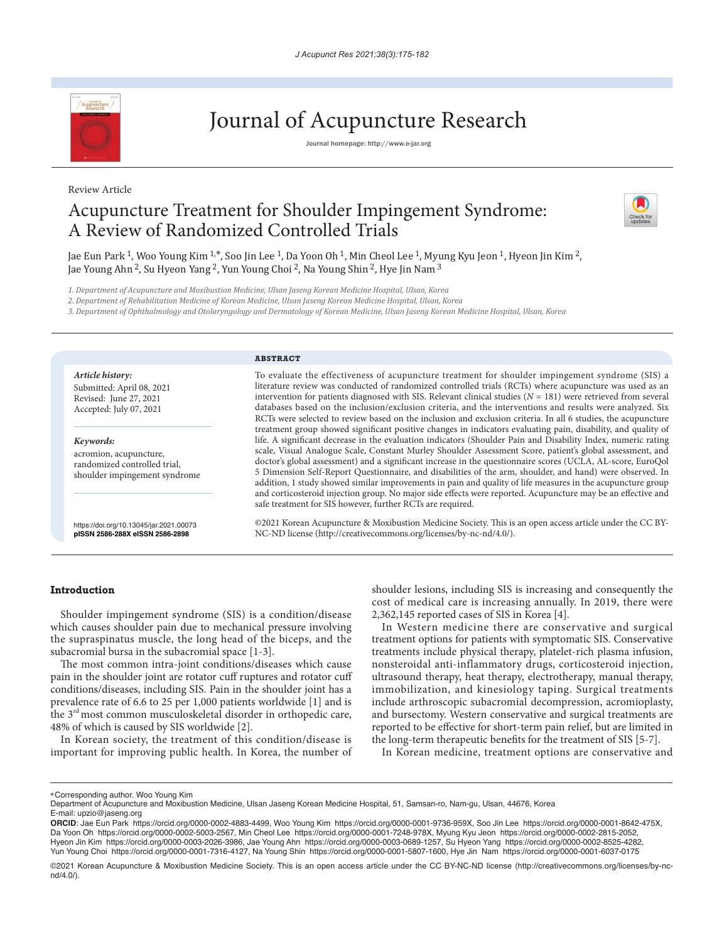

Review Article

# Journal of Acupuncture Research

Journal homepage: http://www.e-jar.org

# Acupuncture Treatment for Shoulder Impingement Syndrome: A Review of Randomized Controlled Trials



Jae Eun Park <sup>1</sup>, Woo Young Kim <sup>1,\*</sup>, Soo Jin Lee <sup>1</sup>, Da Yoon Oh <sup>1</sup>, Min Cheol Lee <sup>1</sup>, Myung Kyu Jeon <sup>1</sup>, Hyeon Jin Kim <sup>2</sup>, Jae Young Ahn 2, Su Hyeon Yang 2, Yun Young Choi 2, Na Young Shin 2, Hye Jin Nam 3

*1. Department of Acupuncture and Moxibustion Medicine, Ulsan Jaseng Korean Medicine Hospital, Ulsan, Korea*

*2. Department of Rehabilitation Medicine of Korean Medicine, Ulsan Jaseng Korean Medicine Hospital, Ulsan, Korea*

*3. Department of Ophthalmology and Otolaryngology and Dermatology of Korean Medicine, Ulsan Jaseng Korean Medicine Hospital, Ulsan, Korea*

#### **ABSTRACT**

*Article history:* Submitted: April 08, 2021 Revised: June 27, 2021 Accepted: July 07, 2021

*Keywords:* acromion, acupuncture, randomized controlled trial, shoulder impingement syndrome

https://doi.org/10.13045/jar.2021.00073 **pISSN 2586-288X eISSN 2586-2898**

To evaluate the effectiveness of acupuncture treatment for shoulder impingement syndrome (SIS) a literature review was conducted of randomized controlled trials (RCTs) where acupuncture was used as an intervention for patients diagnosed with SIS. Relevant clinical studies (*N* = 181) were retrieved from several databases based on the inclusion/exclusion criteria, and the interventions and results were analyzed. Six RCTs were selected to review based on the inclusion and exclusion criteria. In all 6 studies, the acupuncture treatment group showed significant positive changes in indicators evaluating pain, disability, and quality of life. A significant decrease in the evaluation indicators (Shoulder Pain and Disability Index, numeric rating scale, Visual Analogue Scale, Constant Murley Shoulder Assessment Score, patient's global assessment, and doctor's global assessment) and a significant increase in the questionnaire scores (UCLA, AL-score, EuroQol 5 Dimension Self-Report Questionnaire, and disabilities of the arm, shoulder, and hand) were observed. In addition, 1 study showed similar improvements in pain and quality of life measures in the acupuncture group and corticosteroid injection group. No major side effects were reported. Acupuncture may be an effective and safe treatment for SIS however, further RCTs are required.

©2021 Korean Acupuncture & Moxibustion Medicine Society. This is an open access article under the CC BY-NC-ND license (http://creativecommons.org/licenses/by-nc-nd/4.0/).

#### **Introduction**

Shoulder impingement syndrome (SIS) is a condition/disease which causes shoulder pain due to mechanical pressure involving the supraspinatus muscle, the long head of the biceps, and the subacromial bursa in the subacromial space [1-3].

The most common intra-joint conditions/diseases which cause pain in the shoulder joint are rotator cuff ruptures and rotator cuff conditions/diseases, including SIS. Pain in the shoulder joint has a prevalence rate of 6.6 to 25 per 1,000 patients worldwide [1] and is the 3rd most common musculoskeletal disorder in orthopedic care, 48% of which is caused by SIS worldwide [2].

In Korean society, the treatment of this condition/disease is important for improving public health. In Korea, the number of shoulder lesions, including SIS is increasing and consequently the cost of medical care is increasing annually. In 2019, there were 2,362,145 reported cases of SIS in Korea [4].

In Western medicine there are conservative and surgical treatment options for patients with symptomatic SIS. Conservative treatments include physical therapy, platelet-rich plasma infusion, nonsteroidal anti-inflammatory drugs, corticosteroid injection, ultrasound therapy, heat therapy, electrotherapy, manual therapy, immobilization, and kinesiology taping. Surgical treatments include arthroscopic subacromial decompression, acromioplasty, and bursectomy. Western conservative and surgical treatments are reported to be effective for short-term pain relief, but are limited in the long-term therapeutic benefits for the treatment of SIS [5-7].

In Korean medicine, treatment options are conservative and

<sup>\*</sup>Corresponding author. Woo Young Kim

Department of Acupuncture and Moxibustion Medicine, Ulsan Jaseng Korean Medicine Hospital, 51, Samsan-ro, Nam-gu, Ulsan, 44676, Korea E-mail: upzio@jaseng.org

**ORCID**: Jae Eun Park https://orcid.org/0000-0002-4883-4499, Woo Young Kim https://orcid.org/0000-0001-9736-959X, Soo Jin Lee https://orcid.org/0000-0001-8642-475X, Da Yoon Oh https://orcid.org/0000-0002-5003-2567, Min Cheol Lee https://orcid.org/0000-0001-7248-978X, Myung Kyu Jeon https://orcid.org/0000-0002-2815-2052, Hyeon Jin Kim https://orcid.org/0000-0003-2026-3986, Jae Young Ahn https://orcid.org/0000-0003-0689-1257, Su Hyeon Yang https://orcid.org/0000-0002-8525-4282, Yun Young Choi https://orcid.org/0000-0001-7316-4127, Na Young Shin https://orcid.org/0000-0001-5807-1600, Hye Jin Nam https://orcid.org/0000-0001-6037-0175

<sup>©2021</sup> Korean Acupuncture & Moxibustion Medicine Society. This is an open access article under the CC BY-NC-ND license (http://creativecommons.org/licenses/by-ncnd/4.0/).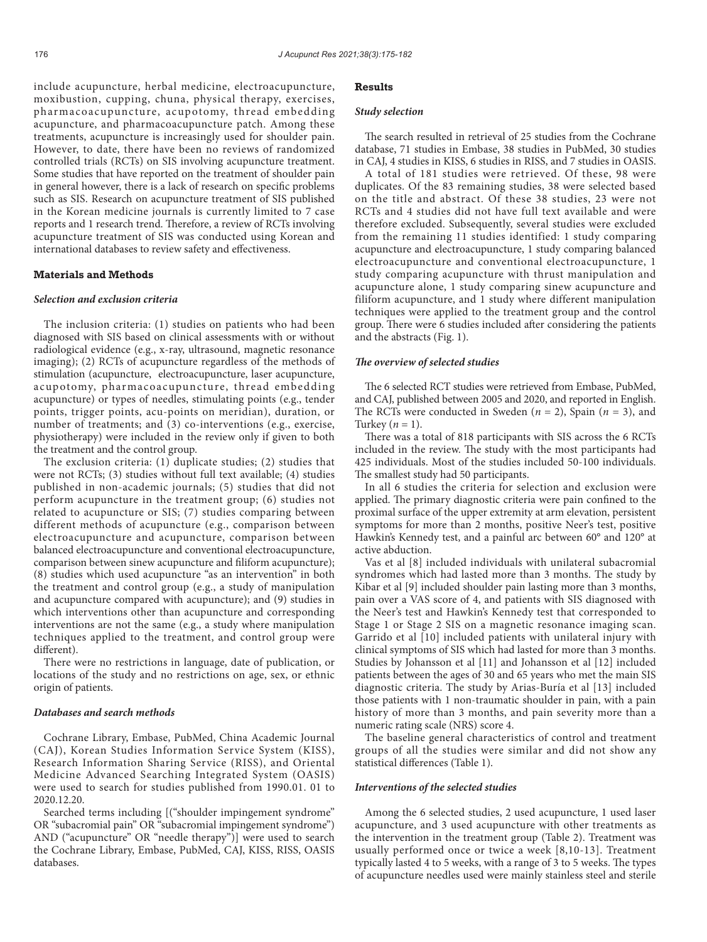include acupuncture, herbal medicine, electroacupuncture, moxibustion, cupping, chuna, physical therapy, exercises, pharmacoacupuncture, acupotomy, thread embedding acupuncture, and pharmacoacupuncture patch. Among these treatments, acupuncture is increasingly used for shoulder pain. However, to date, there have been no reviews of randomized controlled trials (RCTs) on SIS involving acupuncture treatment. Some studies that have reported on the treatment of shoulder pain in general however, there is a lack of research on specific problems such as SIS. Research on acupuncture treatment of SIS published in the Korean medicine journals is currently limited to 7 case reports and 1 research trend. Therefore, a review of RCTs involving acupuncture treatment of SIS was conducted using Korean and international databases to review safety and effectiveness.

# **Materials and Methods**

# *Selection and exclusion criteria*

The inclusion criteria: (1) studies on patients who had been diagnosed with SIS based on clinical assessments with or without radiological evidence (e.g., x-ray, ultrasound, magnetic resonance imaging); (2) RCTs of acupuncture regardless of the methods of stimulation (acupuncture, electroacupuncture, laser acupuncture, acupotomy, pharmacoacupuncture, thread embedding acupuncture) or types of needles, stimulating points (e.g., tender points, trigger points, acu-points on meridian), duration, or number of treatments; and  $(3)$  co-interventions (e.g., exercise, physiotherapy) were included in the review only if given to both the treatment and the control group.

The exclusion criteria: (1) duplicate studies; (2) studies that were not RCTs; (3) studies without full text available; (4) studies published in non-academic journals; (5) studies that did not perform acupuncture in the treatment group; (6) studies not related to acupuncture or SIS; (7) studies comparing between different methods of acupuncture (e.g., comparison between electroacupuncture and acupuncture, comparison between balanced electroacupuncture and conventional electroacupuncture, comparison between sinew acupuncture and filiform acupuncture); (8) studies which used acupuncture "as an intervention" in both the treatment and control group (e.g., a study of manipulation and acupuncture compared with acupuncture); and (9) studies in which interventions other than acupuncture and corresponding interventions are not the same (e.g., a study where manipulation techniques applied to the treatment, and control group were different).

There were no restrictions in language, date of publication, or locations of the study and no restrictions on age, sex, or ethnic origin of patients.

#### *Databases and search methods*

Cochrane Library, Embase, PubMed, China Academic Journal (CAJ), Korean Studies Information Service System (KISS), Research Information Sharing Service (RISS), and Oriental Medicine Advanced Searching Integrated System (OASIS) were used to search for studies published from 1990.01. 01 to 2020.12.20.

Searched terms including [("shoulder impingement syndrome" OR "subacromial pain" OR "subacromial impingement syndrome") AND ("acupuncture" OR "needle therapy")] were used to search the Cochrane Library, Embase, PubMed, CAJ, KISS, RISS, OASIS databases.

#### **Results**

#### *Study selection*

The search resulted in retrieval of 25 studies from the Cochrane database, 71 studies in Embase, 38 studies in PubMed, 30 studies in CAJ, 4 studies in KISS, 6 studies in RISS, and 7 studies in OASIS.

A total of 181 studies were retrieved. Of these, 98 were duplicates. Of the 83 remaining studies, 38 were selected based on the title and abstract. Of these 38 studies, 23 were not RCTs and 4 studies did not have full text available and were therefore excluded. Subsequently, several studies were excluded from the remaining 11 studies identified: 1 study comparing acupuncture and electroacupuncture, 1 study comparing balanced electroacupuncture and conventional electroacupuncture, 1 study comparing acupuncture with thrust manipulation and acupuncture alone, 1 study comparing sinew acupuncture and filiform acupuncture, and 1 study where different manipulation techniques were applied to the treatment group and the control group. There were 6 studies included after considering the patients and the abstracts (Fig. 1).

# *The overview of selected studies*

The 6 selected RCT studies were retrieved from Embase, PubMed, and CAJ, published between 2005 and 2020, and reported in English. The RCTs were conducted in Sweden (*n* = 2), Spain (*n* = 3), and Turkey  $(n = 1)$ .

There was a total of 818 participants with SIS across the 6 RCTs included in the review. The study with the most participants had 425 individuals. Most of the studies included 50-100 individuals. The smallest study had 50 participants.

In all 6 studies the criteria for selection and exclusion were applied. The primary diagnostic criteria were pain confined to the proximal surface of the upper extremity at arm elevation, persistent symptoms for more than 2 months, positive Neer's test, positive Hawkin's Kennedy test, and a painful arc between 60° and 120° at active abduction.

Vas et al [8] included individuals with unilateral subacromial syndromes which had lasted more than 3 months. The study by Kibar et al [9] included shoulder pain lasting more than 3 months, pain over a VAS score of 4, and patients with SIS diagnosed with the Neer's test and Hawkin's Kennedy test that corresponded to Stage 1 or Stage 2 SIS on a magnetic resonance imaging scan. Garrido et al [10] included patients with unilateral injury with clinical symptoms of SIS which had lasted for more than 3 months. Studies by Johansson et al [11] and Johansson et al [12] included patients between the ages of 30 and 65 years who met the main SIS diagnostic criteria. The study by Arias-Buría et al [13] included those patients with 1 non-traumatic shoulder in pain, with a pain history of more than 3 months, and pain severity more than a numeric rating scale (NRS) score 4.

The baseline general characteristics of control and treatment groups of all the studies were similar and did not show any statistical differences (Table 1).

# *Interventions of the selected studies*

Among the 6 selected studies, 2 used acupuncture, 1 used laser acupuncture, and 3 used acupuncture with other treatments as the intervention in the treatment group (Table 2). Treatment was usually performed once or twice a week [8,10-13]. Treatment typically lasted 4 to 5 weeks, with a range of 3 to 5 weeks. The types of acupuncture needles used were mainly stainless steel and sterile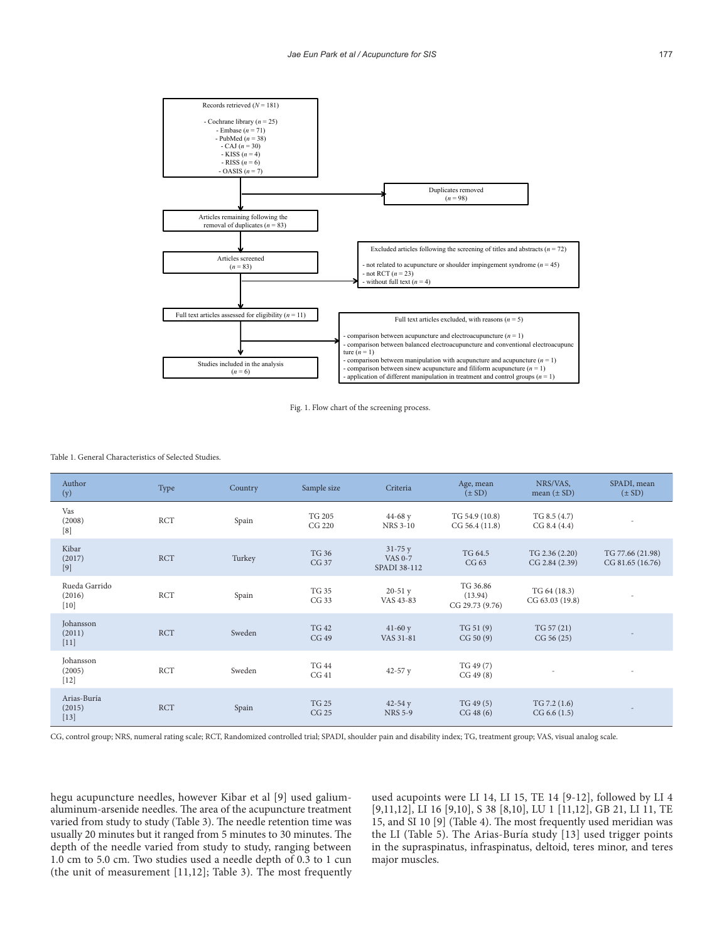



Table 1. General Characteristics of Selected Studies.

| Author<br>(y)                     | Type       | Country | Sample size             | Criteria                                     | Age, mean<br>$(\pm SD)$                | NRS/VAS,<br>mean $(\pm SD)$      | SPADI, mean<br>$(\pm SD)$            |
|-----------------------------------|------------|---------|-------------------------|----------------------------------------------|----------------------------------------|----------------------------------|--------------------------------------|
| Vas<br>(2008)<br>[8]              | <b>RCT</b> | Spain   | <b>TG 205</b><br>CG 220 | $44 - 68y$<br><b>NRS 3-10</b>                | TG 54.9 (10.8)<br>CG 56.4 (11.8)       | TG 8.5(4.7)<br>CG 8.4 (4.4)      |                                      |
| Kibar<br>(2017)<br>$[9]$          | <b>RCT</b> | Turkey  | <b>TG 36</b><br>CG 37   | $31 - 75y$<br><b>VAS 0-7</b><br>SPADI 38-112 | TG 64.5<br>CG 63                       | TG 2.36 (2.20)<br>CG 2.84 (2.39) | TG 77.66 (21.98)<br>CG 81.65 (16.76) |
| Rueda Garrido<br>(2016)<br>$[10]$ | <b>RCT</b> | Spain   | <b>TG 35</b><br>CG 33   | $20-51y$<br>VAS 43-83                        | TG 36.86<br>(13.94)<br>CG 29.73 (9.76) | TG 64 (18.3)<br>CG 63.03 (19.8)  |                                      |
| Johansson<br>(2011)<br>$[11]$     | <b>RCT</b> | Sweden  | <b>TG 42</b><br>CG 49   | $41-60y$<br>VAS 31-81                        | TG 51(9)<br>CG 50(9)                   | TG 57 (21)<br>CG 56 (25)         |                                      |
| Johansson<br>(2005)<br>$[12]$     | <b>RCT</b> | Sweden  | <b>TG 44</b><br>CG41    | 42-57 $y$                                    | TG 49 (7)<br>CG 49(8)                  |                                  |                                      |
| Arias-Buría<br>(2015)<br>$[13]$   | <b>RCT</b> | Spain   | <b>TG 25</b><br>CG 25   | $42 - 54y$<br><b>NRS 5-9</b>                 | TG 49(5)<br>CG 48(6)                   | TG 7.2(1.6)<br>CG 6.6(1.5)       |                                      |

CG, control group; NRS, numeral rating scale; RCT, Randomized controlled trial; SPADI, shoulder pain and disability index; TG, treatment group; VAS, visual analog scale.

hegu acupuncture needles, however Kibar et al [9] used galiumaluminum-arsenide needles. The area of the acupuncture treatment varied from study to study (Table 3). The needle retention time was usually 20 minutes but it ranged from 5 minutes to 30 minutes. The depth of the needle varied from study to study, ranging between 1.0 cm to 5.0 cm. Two studies used a needle depth of 0.3 to 1 cun (the unit of measurement [11,12]; Table 3). The most frequently

used acupoints were LI 14, LI 15, TE 14 [9-12], followed by LI 4 [9,11,12], LI 16 [9,10], S 38 [8,10], LU 1 [11,12], GB 21, LI 11, TE 15, and SI 10 [9] (Table 4). The most frequently used meridian was the LI (Table 5). The Arias-Buría study [13] used trigger points in the supraspinatus, infraspinatus, deltoid, teres minor, and teres major muscles.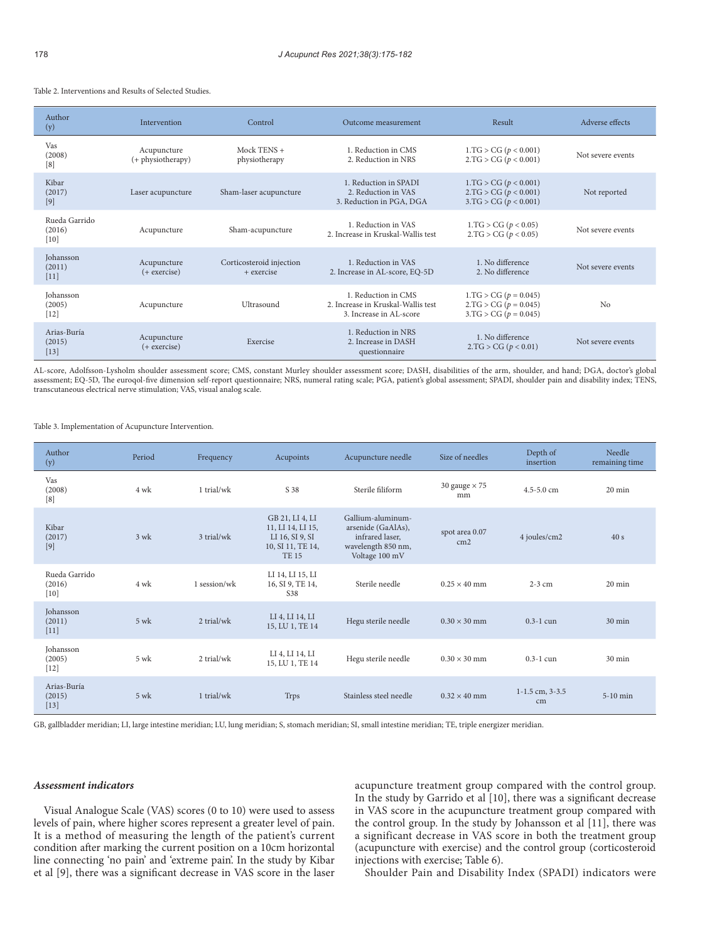Table 2. Interventions and Results of Selected Studies.

| Author<br>(y)                     | Intervention                     | Control                                | Outcome measurement                                                                  | Result                                                                        | Adverse effects   |
|-----------------------------------|----------------------------------|----------------------------------------|--------------------------------------------------------------------------------------|-------------------------------------------------------------------------------|-------------------|
| Vas<br>(2008)<br>[8]              | Acupuncture<br>(+ physiotherapy) | Mock TENS $+$<br>physiotherapy         | 1. Reduction in CMS<br>2. Reduction in NRS                                           | 1.TG > CG (p < 0.001)<br>2.TG > CG (p < 0.001)                                | Not severe events |
| Kibar<br>(2017)<br>$[9]$          | Laser acupuncture                | Sham-laser acupuncture                 | 1. Reduction in SPADI<br>2. Reduction in VAS<br>3. Reduction in PGA, DGA             | 1.TG > CG (p < 0.001)<br>2.TG > CG (p < 0.001)<br>3.TG > CG (p < 0.001)       | Not reported      |
| Rueda Garrido<br>(2016)<br>$[10]$ | Acupuncture                      | Sham-acupuncture                       | 1 Reduction in VAS<br>2. Increase in Kruskal-Wallis test                             | 1.TG > CG (p < 0.05)<br>2.TG > CG (p < 0.05)                                  | Not severe events |
| Johansson<br>(2011)<br>$[11]$     | Acupuncture<br>$(+$ exercise $)$ | Corticosteroid injection<br>+ exercise | 1. Reduction in VAS<br>2. Increase in AL-score, EQ-5D                                | 1. No difference<br>2. No difference                                          | Not severe events |
| Johansson<br>(2005)<br>$[12]$     | Acupuncture                      | Ultrasound                             | 1. Reduction in CMS<br>2. Increase in Kruskal-Wallis test<br>3. Increase in AL-score | $1.TG > CG (p = 0.045)$<br>$2.TG > CG (p = 0.045)$<br>$3.TG > CG (p = 0.045)$ | No                |
| Arias-Buría<br>(2015)<br>$[13]$   | Acupuncture<br>$(+$ exercise)    | Exercise                               | 1. Reduction in NRS<br>2. Increase in DASH<br>questionnaire                          | 1. No difference<br>2.TG > CG (p < 0.01)                                      | Not severe events |

AL-score, Adolfsson-Lysholm shoulder assessment score; CMS, constant Murley shoulder assessment score; DASH, disabilities of the arm, shoulder, and hand; DGA, doctor's global assessment; EQ-5D, The euroqol-five dimension self-report questionnaire; NRS, numeral rating scale; PGA, patient's global assessment; SPADI, shoulder pain and disability index; TENS, transcutaneous electrical nerve stimulation; VAS, visual analog scale.

Table 3. Implementation of Acupuncture Intervention.

| Author<br>(y)                     | Period         | Frequency    | Acupoints                                                                                   | Acupuncture needle                                                                                 | Size of needles                   | Depth of<br>insertion     | Needle<br>remaining time |
|-----------------------------------|----------------|--------------|---------------------------------------------------------------------------------------------|----------------------------------------------------------------------------------------------------|-----------------------------------|---------------------------|--------------------------|
| Vas<br>(2008)<br>[8]              | 4 wk           | 1 trial/wk   | S 38                                                                                        | Sterile filiform                                                                                   | 30 gauge $\times$ 75<br>mm        | $4.5 - 5.0$ cm            | $20 \text{ min}$         |
| Kibar<br>(2017)<br>$[9]$          | $3$ wk         | 3 trial/wk   | GB 21, LI 4, LI<br>11, LI 14, LI 15,<br>LI 16, SI 9, SI<br>10, SI 11, TE 14,<br><b>TE15</b> | Gallium-aluminum-<br>arsenide (GaAlAs),<br>infrared laser.<br>wavelength 850 nm,<br>Voltage 100 mV | spot area 0.07<br>cm <sub>2</sub> | 4 joules/cm2              | 40s                      |
| Rueda Garrido<br>(2016)<br>$[10]$ | 4 wk           | 1 session/wk | LI 14, LI 15, LI<br>16, SI 9, TE 14,<br>S38                                                 | Sterile needle                                                                                     | $0.25 \times 40$ mm               | $2-3$ cm                  | $20 \text{ min}$         |
| Johansson<br>(2011)<br>$[11]$     | $5$ wk         | 2 trial/wk   | LI 4, LI 14, LI<br>15, LU 1, TE 14                                                          | Hegu sterile needle                                                                                | $0.30 \times 30$ mm               | $0.3 - 1$ cun             | $30 \text{ min}$         |
| Johansson<br>(2005)<br>$[12]$     | $5 \text{ wk}$ | $2$ trial/wk | LI 4, LI 14, LI<br>15, LU 1, TE 14                                                          | Hegu sterile needle                                                                                | $0.30 \times 30$ mm               | $0.3 - 1$ cun             | $30 \text{ min}$         |
| Arias-Buría<br>(2015)<br>$[13]$   | $5 \text{ wk}$ | 1 trial/wk   | Trps                                                                                        | Stainless steel needle                                                                             | $0.32 \times 40$ mm               | $1-1.5$ cm, $3-3.5$<br>cm | $5-10$ min               |

GB, gallbladder meridian; LI, large intestine meridian; LU, lung meridian; S, stomach meridian; SI, small intestine meridian; TE, triple energizer meridian.

# *Assessment indicators*

Visual Analogue Scale (VAS) scores (0 to 10) were used to assess levels of pain, where higher scores represent a greater level of pain. It is a method of measuring the length of the patient's current condition after marking the current position on a 10cm horizontal line connecting 'no pain' and 'extreme pain'. In the study by Kibar et al [9], there was a significant decrease in VAS score in the laser

acupuncture treatment group compared with the control group. In the study by Garrido et al [10], there was a significant decrease in VAS score in the acupuncture treatment group compared with the control group. In the study by Johansson et al [11], there was a significant decrease in VAS score in both the treatment group (acupuncture with exercise) and the control group (corticosteroid injections with exercise; Table 6).

Shoulder Pain and Disability Index (SPADI) indicators were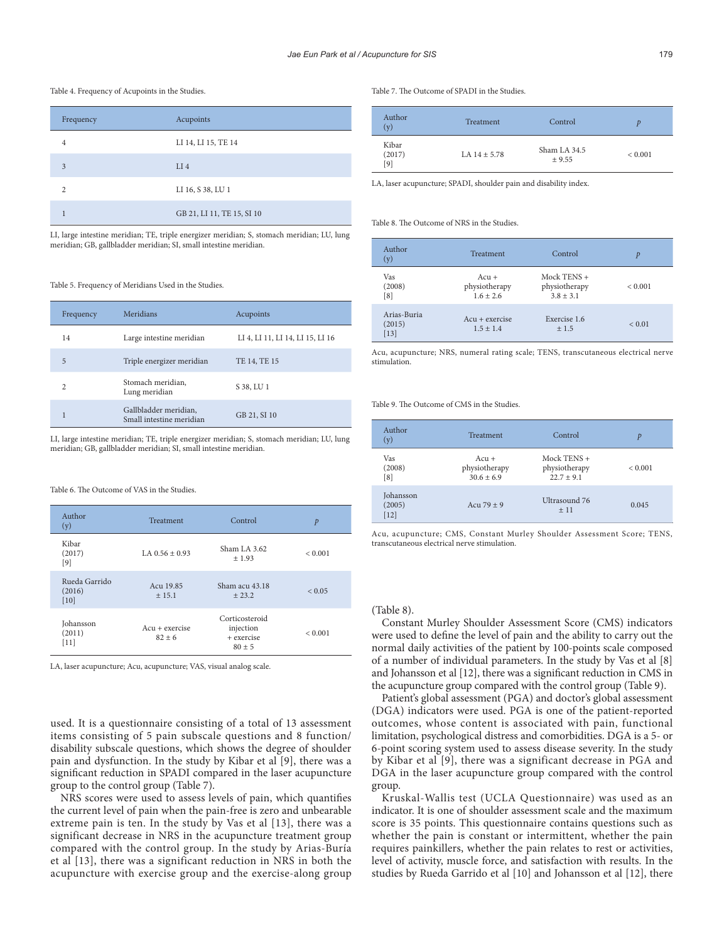#### Table 4. Frequency of Acupoints in the Studies.

| Frequency      | Acupoints                  |
|----------------|----------------------------|
| $\overline{4}$ | LI 14, LI 15, TE 14        |
| 3              | $LI$ 4                     |
| C              | LI 16, S 38, LU 1          |
|                | GB 21, LI 11, TE 15, SI 10 |

LI, large intestine meridian; TE, triple energizer meridian; S, stomach meridian; LU, lung meridian; GB, gallbladder meridian; SI, small intestine meridian.

#### Table 5. Frequency of Meridians Used in the Studies.

| Frequency      | Meridians                                         | Acupoints                        |
|----------------|---------------------------------------------------|----------------------------------|
| 14             | Large intestine meridian                          | LI 4, LI 11, LI 14, LI 15, LI 16 |
| 5              | Triple energizer meridian                         | TE 14, TE 15                     |
| $\overline{c}$ | Stomach meridian,<br>Lung meridian                | S 38, LU 1                       |
|                | Gallbladder meridian,<br>Small intestine meridian | GB 21, SI 10                     |

LI, large intestine meridian; TE, triple energizer meridian; S, stomach meridian; LU, lung meridian; GB, gallbladder meridian; SI, small intestine meridian.

Table 6. The Outcome of VAS in the Studies.

| Author<br>(y)                     | Treatment                    | Control                                               | $\mathcal{P}$ |
|-----------------------------------|------------------------------|-------------------------------------------------------|---------------|
| Kibar<br>(2017)<br>[9]            | LA $0.56 + 0.93$             | Sham LA $3.62$<br>$+1.93$                             | ${}_{0.001}$  |
| Rueda Garrido<br>(2016)<br>$[10]$ | Acu 19.85<br>$+15.1$         | Sham acu 43.18<br>$+23.2$                             | ${}_{0.05}$   |
| Johansson<br>(2011)<br>$[11]$     | $Acu + exercise$<br>$82 + 6$ | Corticosteroid<br>injection<br>+ exercise<br>$80 + 5$ | ${}_{0.001}$  |

LA, laser acupuncture; Acu, acupuncture; VAS, visual analog scale.

used. It is a questionnaire consisting of a total of 13 assessment items consisting of 5 pain subscale questions and 8 function/ disability subscale questions, which shows the degree of shoulder pain and dysfunction. In the study by Kibar et al [9], there was a significant reduction in SPADI compared in the laser acupuncture group to the control group (Table 7).

NRS scores were used to assess levels of pain, which quantifies the current level of pain when the pain-free is zero and unbearable extreme pain is ten. In the study by Vas et al [13], there was a significant decrease in NRS in the acupuncture treatment group compared with the control group. In the study by Arias-Buría et al [13], there was a significant reduction in NRS in both the acupuncture with exercise group and the exercise-along group

Table 7. The Outcome of SPADI in the Studies.

| Author<br>(y)          | Treatment        | Control                | D           |
|------------------------|------------------|------------------------|-------------|
| Kibar<br>(2017)<br>[9] | LA $14 \pm 5.78$ | Sham LA 34.5<br>± 9.55 | ${}< 0.001$ |

LA, laser acupuncture; SPADI, shoulder pain and disability index.

#### Table 8. The Outcome of NRS in the Studies.

| Author<br>(y)                   | Treatment                               | Control                                       | D           |
|---------------------------------|-----------------------------------------|-----------------------------------------------|-------------|
| Vas<br>(2008)<br>[8]            | $Acu +$<br>physiotherapy<br>$1.6 + 2.6$ | Mock TENS $+$<br>physiotherapy<br>$3.8 + 3.1$ | ${}< 0.001$ |
| Arias-Buria<br>(2015)<br>$[13]$ | $Acu + exercise$<br>$1.5 + 1.4$         | Exercise 1.6<br>±1.5                          | ${}< 0.01$  |

Acu, acupuncture; NRS, numeral rating scale; TENS, transcutaneous electrical nerve stimulation.

Table 9. The Outcome of CMS in the Studies.

| Author<br>(y)                 | Treatment                                | Control                                        | Þ       |
|-------------------------------|------------------------------------------|------------------------------------------------|---------|
| Vas<br>(2008)<br>[8]          | $Acu +$<br>physiotherapy<br>$30.6 + 6.9$ | Mock TENS $+$<br>physiotherapy<br>$22.7 + 9.1$ | < 0.001 |
| Johansson<br>(2005)<br>$[12]$ | Acu $79 + 9$                             | Ultrasound 76<br>±11                           | 0.045   |

Acu, acupuncture; CMS, Constant Murley Shoulder Assessment Score; TENS, transcutaneous electrical nerve stimulation.

# (Table 8).

Constant Murley Shoulder Assessment Score (CMS) indicators were used to define the level of pain and the ability to carry out the normal daily activities of the patient by 100-points scale composed of a number of individual parameters. In the study by Vas et al [8] and Johansson et al [12], there was a significant reduction in CMS in the acupuncture group compared with the control group (Table 9).

Patient's global assessment (PGA) and doctor's global assessment (DGA) indicators were used. PGA is one of the patient-reported outcomes, whose content is associated with pain, functional limitation, psychological distress and comorbidities. DGA is a 5- or 6-point scoring system used to assess disease severity. In the study by Kibar et al [9], there was a significant decrease in PGA and DGA in the laser acupuncture group compared with the control group.

Kruskal-Wallis test (UCLA Questionnaire) was used as an indicator. It is one of shoulder assessment scale and the maximum score is 35 points. This questionnaire contains questions such as whether the pain is constant or intermittent, whether the pain requires painkillers, whether the pain relates to rest or activities, level of activity, muscle force, and satisfaction with results. In the studies by Rueda Garrido et al [10] and Johansson et al [12], there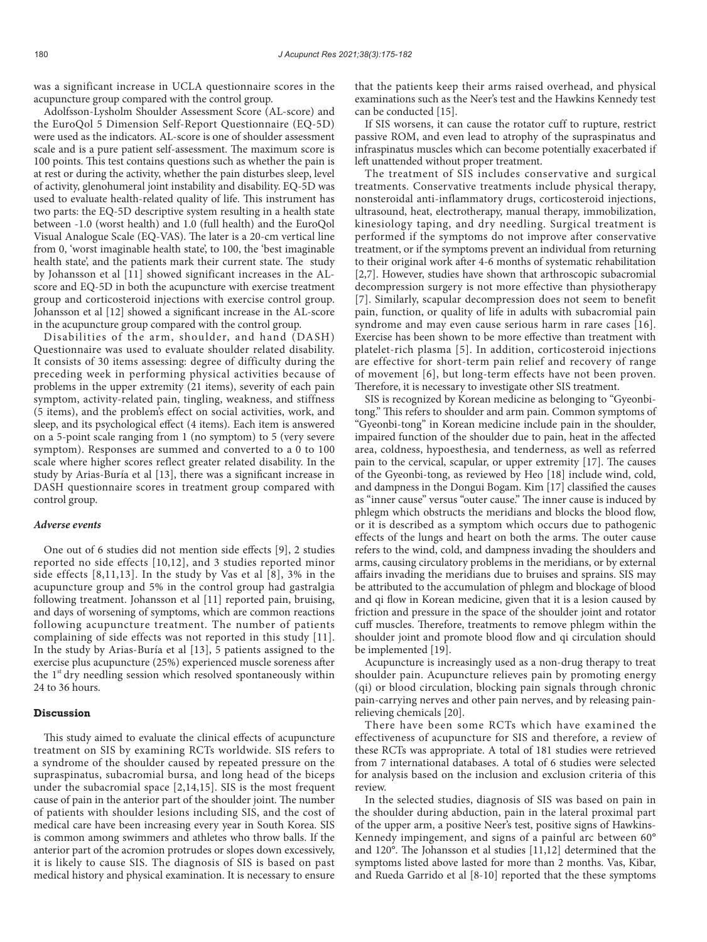was a significant increase in UCLA questionnaire scores in the acupuncture group compared with the control group.

Adolfsson-Lysholm Shoulder Assessment Score (AL-score) and the EuroQol 5 Dimension Self-Report Questionnaire (EQ-5D) were used as the indicators. AL-score is one of shoulder assessment scale and is a pure patient self-assessment. The maximum score is 100 points. This test contains questions such as whether the pain is at rest or during the activity, whether the pain disturbes sleep, level of activity, glenohumeral joint instability and disability. EQ-5D was used to evaluate health-related quality of life. This instrument has two parts: the EQ-5D descriptive system resulting in a health state between -1.0 (worst health) and 1.0 (full health) and the EuroQol Visual Analogue Scale (EQ-VAS). The later is a 20-cm vertical line from 0, 'worst imaginable health state', to 100, the 'best imaginable health state', and the patients mark their current state. The study by Johansson et al [11] showed significant increases in the ALscore and EQ-5D in both the acupuncture with exercise treatment group and corticosteroid injections with exercise control group. Johansson et al [12] showed a significant increase in the AL-score in the acupuncture group compared with the control group.

Disabilities of the arm, shoulder, and hand (DASH) Questionnaire was used to evaluate shoulder related disability. It consists of 30 items assessing: degree of difficulty during the preceding week in performing physical activities because of problems in the upper extremity (21 items), severity of each pain symptom, activity-related pain, tingling, weakness, and stiffness (5 items), and the problem's effect on social activities, work, and sleep, and its psychological effect (4 items). Each item is answered on a 5-point scale ranging from 1 (no symptom) to 5 (very severe symptom). Responses are summed and converted to a 0 to 100 scale where higher scores reflect greater related disability. In the study by Arias-Buría et al [13], there was a significant increase in DASH questionnaire scores in treatment group compared with control group.

#### *Adverse events*

One out of 6 studies did not mention side effects [9], 2 studies reported no side effects [10,12], and 3 studies reported minor side effects [8,11,13]. In the study by Vas et al [8], 3% in the acupuncture group and 5% in the control group had gastralgia following treatment. Johansson et al [11] reported pain, bruising, and days of worsening of symptoms, which are common reactions following acupuncture treatment. The number of patients complaining of side effects was not reported in this study [11]. In the study by Arias-Buría et al [13], 5 patients assigned to the exercise plus acupuncture (25%) experienced muscle soreness after the  $1<sup>st</sup>$  dry needling session which resolved spontaneously within 24 to 36 hours.

# **Discussion**

This study aimed to evaluate the clinical effects of acupuncture treatment on SIS by examining RCTs worldwide. SIS refers to a syndrome of the shoulder caused by repeated pressure on the supraspinatus, subacromial bursa, and long head of the biceps under the subacromial space [2,14,15]. SIS is the most frequent cause of pain in the anterior part of the shoulder joint. The number of patients with shoulder lesions including SIS, and the cost of medical care have been increasing every year in South Korea. SIS is common among swimmers and athletes who throw balls. If the anterior part of the acromion protrudes or slopes down excessively, it is likely to cause SIS. The diagnosis of SIS is based on past medical history and physical examination. It is necessary to ensure

that the patients keep their arms raised overhead, and physical examinations such as the Neer's test and the Hawkins Kennedy test can be conducted [15].

If SIS worsens, it can cause the rotator cuff to rupture, restrict passive ROM, and even lead to atrophy of the supraspinatus and infraspinatus muscles which can become potentially exacerbated if left unattended without proper treatment.

The treatment of SIS includes conservative and surgical treatments. Conservative treatments include physical therapy, nonsteroidal anti-inflammatory drugs, corticosteroid injections, ultrasound, heat, electrotherapy, manual therapy, immobilization, kinesiology taping, and dry needling. Surgical treatment is performed if the symptoms do not improve after conservative treatment, or if the symptoms prevent an individual from returning to their original work after 4-6 months of systematic rehabilitation [2,7]. However, studies have shown that arthroscopic subacromial decompression surgery is not more effective than physiotherapy [7]. Similarly, scapular decompression does not seem to benefit pain, function, or quality of life in adults with subacromial pain syndrome and may even cause serious harm in rare cases [16]. Exercise has been shown to be more effective than treatment with platelet-rich plasma [5]. In addition, corticosteroid injections are effective for short-term pain relief and recovery of range of movement [6], but long-term effects have not been proven. Therefore, it is necessary to investigate other SIS treatment.

SIS is recognized by Korean medicine as belonging to "Gyeonbitong." This refers to shoulder and arm pain. Common symptoms of "Gyeonbi-tong" in Korean medicine include pain in the shoulder, impaired function of the shoulder due to pain, heat in the affected area, coldness, hypoesthesia, and tenderness, as well as referred pain to the cervical, scapular, or upper extremity [17]. The causes of the Gyeonbi-tong, as reviewed by Heo [18] include wind, cold, and dampness in the Dongui Bogam. Kim [17] classified the causes as "inner cause" versus "outer cause." The inner cause is induced by phlegm which obstructs the meridians and blocks the blood flow, or it is described as a symptom which occurs due to pathogenic effects of the lungs and heart on both the arms. The outer cause refers to the wind, cold, and dampness invading the shoulders and arms, causing circulatory problems in the meridians, or by external affairs invading the meridians due to bruises and sprains. SIS may be attributed to the accumulation of phlegm and blockage of blood and qi flow in Korean medicine, given that it is a lesion caused by friction and pressure in the space of the shoulder joint and rotator cuff muscles. Therefore, treatments to remove phlegm within the shoulder joint and promote blood flow and qi circulation should be implemented [19].

Acupuncture is increasingly used as a non-drug therapy to treat shoulder pain. Acupuncture relieves pain by promoting energy (qi) or blood circulation, blocking pain signals through chronic pain-carrying nerves and other pain nerves, and by releasing painrelieving chemicals [20].

There have been some RCTs which have examined the effectiveness of acupuncture for SIS and therefore, a review of these RCTs was appropriate. A total of 181 studies were retrieved from 7 international databases. A total of 6 studies were selected for analysis based on the inclusion and exclusion criteria of this review.

In the selected studies, diagnosis of SIS was based on pain in the shoulder during abduction, pain in the lateral proximal part of the upper arm, a positive Neer's test, positive signs of Hawkins-Kennedy impingement, and signs of a painful arc between 60° and 120°. The Johansson et al studies [11,12] determined that the symptoms listed above lasted for more than 2 months. Vas, Kibar, and Rueda Garrido et al [8-10] reported that the these symptoms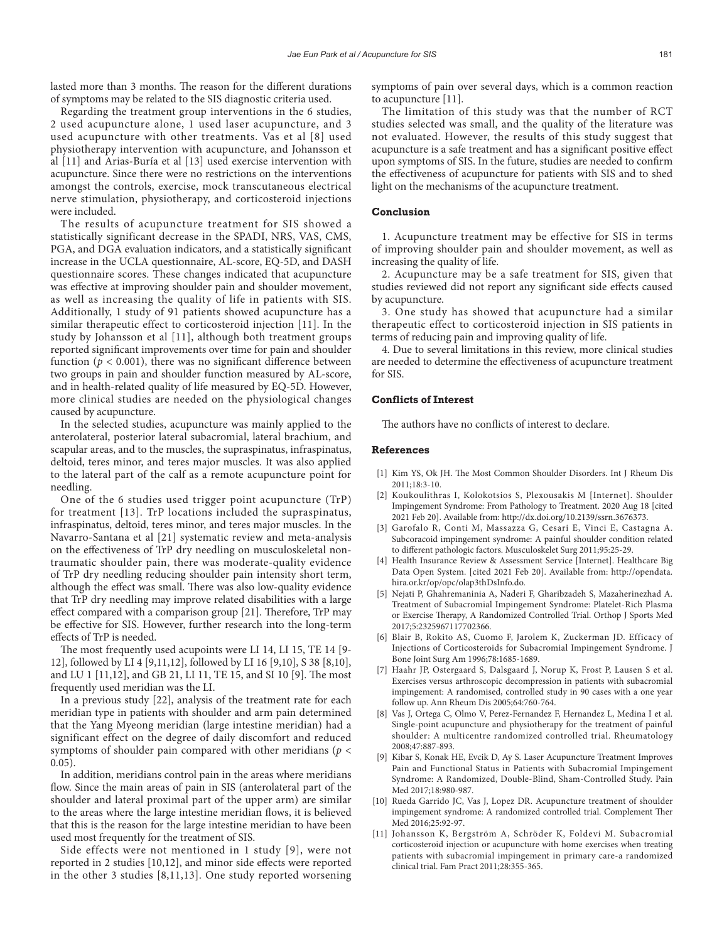lasted more than 3 months. The reason for the different durations of symptoms may be related to the SIS diagnostic criteria used.

Regarding the treatment group interventions in the 6 studies, 2 used acupuncture alone, 1 used laser acupuncture, and 3 used acupuncture with other treatments. Vas et al [8] used physiotherapy intervention with acupuncture, and Johansson et al [11] and Arias-Buría et al [13] used exercise intervention with acupuncture. Since there were no restrictions on the interventions amongst the controls, exercise, mock transcutaneous electrical nerve stimulation, physiotherapy, and corticosteroid injections were included.

The results of acupuncture treatment for SIS showed a statistically significant decrease in the SPADI, NRS, VAS, CMS, PGA, and DGA evaluation indicators, and a statistically significant increase in the UCLA questionnaire, AL-score, EQ-5D, and DASH questionnaire scores. These changes indicated that acupuncture was effective at improving shoulder pain and shoulder movement, as well as increasing the quality of life in patients with SIS. Additionally, 1 study of 91 patients showed acupuncture has a similar therapeutic effect to corticosteroid injection [11]. In the study by Johansson et al [11], although both treatment groups reported significant improvements over time for pain and shoulder function ( $p < 0.001$ ), there was no significant difference between two groups in pain and shoulder function measured by AL-score, and in health-related quality of life measured by EQ-5D. However, more clinical studies are needed on the physiological changes caused by acupuncture.

In the selected studies, acupuncture was mainly applied to the anterolateral, posterior lateral subacromial, lateral brachium, and scapular areas, and to the muscles, the supraspinatus, infraspinatus, deltoid, teres minor, and teres major muscles. It was also applied to the lateral part of the calf as a remote acupuncture point for needling.

One of the 6 studies used trigger point acupuncture (TrP) for treatment [13]. TrP locations included the supraspinatus, infraspinatus, deltoid, teres minor, and teres major muscles. In the Navarro-Santana et al [21] systematic review and meta-analysis on the effectiveness of TrP dry needling on musculoskeletal nontraumatic shoulder pain, there was moderate-quality evidence of TrP dry needling reducing shoulder pain intensity short term, although the effect was small. There was also low-quality evidence that TrP dry needling may improve related disabilities with a large effect compared with a comparison group [21]. Therefore, TrP may be effective for SIS. However, further research into the long-term effects of TrP is needed.

The most frequently used acupoints were LI 14, LI 15, TE 14 [9- 12], followed by LI 4 [9,11,12], followed by LI 16 [9,10], S 38 [8,10], and LU 1 [11,12], and GB 21, LI 11, TE 15, and SI 10 [9]. The most frequently used meridian was the LI.

In a previous study [22], analysis of the treatment rate for each meridian type in patients with shoulder and arm pain determined that the Yang Myeong meridian (large intestine meridian) had a significant effect on the degree of daily discomfort and reduced symptoms of shoulder pain compared with other meridians (*p* < 0.05).

In addition, meridians control pain in the areas where meridians flow. Since the main areas of pain in SIS (anterolateral part of the shoulder and lateral proximal part of the upper arm) are similar to the areas where the large intestine meridian flows, it is believed that this is the reason for the large intestine meridian to have been used most frequently for the treatment of SIS.

Side effects were not mentioned in 1 study [9], were not reported in 2 studies [10,12], and minor side effects were reported in the other 3 studies [8,11,13]. One study reported worsening

symptoms of pain over several days, which is a common reaction to acupuncture [11].

The limitation of this study was that the number of RCT studies selected was small, and the quality of the literature was not evaluated. However, the results of this study suggest that acupuncture is a safe treatment and has a significant positive effect upon symptoms of SIS. In the future, studies are needed to confirm the effectiveness of acupuncture for patients with SIS and to shed light on the mechanisms of the acupuncture treatment.

# **Conclusion**

1. Acupuncture treatment may be effective for SIS in terms of improving shoulder pain and shoulder movement, as well as increasing the quality of life.

2. Acupuncture may be a safe treatment for SIS, given that studies reviewed did not report any significant side effects caused by acupuncture.

3. One study has showed that acupuncture had a similar therapeutic effect to corticosteroid injection in SIS patients in terms of reducing pain and improving quality of life.

4. Due to several limitations in this review, more clinical studies are needed to determine the effectiveness of acupuncture treatment for SIS.

# **Conflicts of Interest**

The authors have no conflicts of interest to declare.

#### **References**

- [1] Kim YS, Ok JH. The Most Common Shoulder Disorders. Int J Rheum Dis 2011;18:3-10.
- [2] Koukoulithras I, Kolokotsios S, Plexousakis M [Internet]. Shoulder Impingement Syndrome: From Pathology to Treatment. 2020 Aug 18 [cited 2021 Feb 20]. Available from: http://dx.doi.org/10.2139/ssrn.3676373.
- [3] Garofalo R, Conti M, Massazza G, Cesari E, Vinci E, Castagna A. Subcoracoid impingement syndrome: A painful shoulder condition related to different pathologic factors. Musculoskelet Surg 2011;95:25-29.
- [4] Health Insurance Review & Assessment Service [Internet]. Healthcare Big Data Open System. [cited 2021 Feb 20]. Available from: http://opendata. hira.or.kr/op/opc/olap3thDsInfo.do.
- [5] Nejati P, Ghahremaninia A, Naderi F, Gharibzadeh S, Mazaherinezhad A. Treatment of Subacromial Impingement Syndrome: Platelet-Rich Plasma or Exercise Therapy, A Randomized Controlled Trial. Orthop J Sports Med 2017;5:2325967117702366.
- [6] Blair B, Rokito AS, Cuomo F, Jarolem K, Zuckerman JD. Efficacy of Injections of Corticosteroids for Subacromial Impingement Syndrome. J Bone Joint Surg Am 1996;78:1685-1689.
- [7] Haahr JP, Ostergaard S, Dalsgaard J, Norup K, Frost P, Lausen S et al. Exercises versus arthroscopic decompression in patients with subacromial impingement: A randomised, controlled study in 90 cases with a one year follow up. Ann Rheum Dis 2005;64:760-764.
- [8] Vas J, Ortega C, Olmo V, Perez-Fernandez F, Hernandez L, Medina I et al. Single-point acupuncture and physiotherapy for the treatment of painful shoulder: A multicentre randomized controlled trial. Rheumatology 2008;47:887-893.
- [9] Kibar S, Konak HE, Evcik D, Ay S. Laser Acupuncture Treatment Improves Pain and Functional Status in Patients with Subacromial Impingement Syndrome: A Randomized, Double-Blind, Sham-Controlled Study. Pain Med 2017;18:980-987.
- [10] Rueda Garrido JC, Vas J, Lopez DR. Acupuncture treatment of shoulder impingement syndrome: A randomized controlled trial. Complement Ther Med 2016;25:92-97.
- [11] Johansson K, Bergström A, Schröder K, Foldevi M. Subacromial corticosteroid injection or acupuncture with home exercises when treating patients with subacromial impingement in primary care-a randomized clinical trial. Fam Pract 2011;28:355-365.